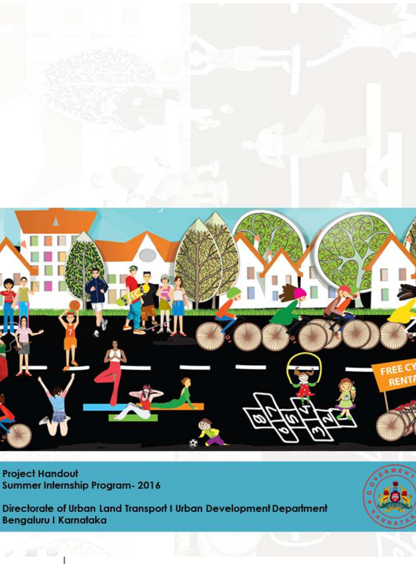

**Project Handout** Summer Internship Program- 2016

Directorate of Urban Land Transport I Urban Development Department Bengaluru I Karnataka

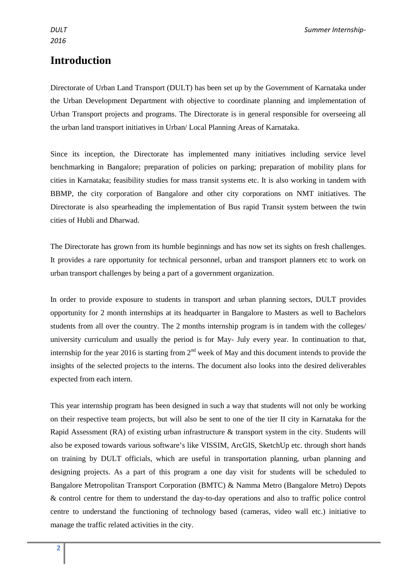## **Introduction**

Directorate of Urban Land Transport (DULT) has been set up by the Government of Karnataka under the Urban Development Department with objective to coordinate planning and implementation of Urban Transport projects and programs. The Directorate is in general responsible for overseeing all the urban land transport initiatives in Urban/ Local Planning Areas of Karnataka.

Since its inception, the Directorate has implemented many initiatives including service level benchmarking in Bangalore; preparation of policies on parking; preparation of mobility plans for cities in Karnataka; feasibility studies for mass transit systems etc. It is also working in tandem with BBMP, the city corporation of Bangalore and other city corporations on NMT initiatives. The Directorate is also spearheading the implementation of Bus rapid Transit system between the twin cities of Hubli and Dharwad.

The Directorate has grown from its humble beginnings and has now set its sights on fresh challenges. It provides a rare opportunity for technical personnel, urban and transport planners etc to work on urban transport challenges by being a part of a government organization.

In order to provide exposure to students in transport and urban planning sectors, DULT provides opportunity for 2 month internships at its headquarter in Bangalore to Masters as well to Bachelors students from all over the country. The 2 months internship program is in tandem with the colleges/ university curriculum and usually the period is for May- July every year. In continuation to that, internship for the year 2016 is starting from  $2<sup>nd</sup>$  week of May and this document intends to provide the insights of the selected projects to the interns. The document also looks into the desired deliverables expected from each intern.

This year internship program has been designed in such a way that students will not only be working on their respective team projects, but will also be sent to one of the tier II city in Karnataka for the Rapid Assessment (RA) of existing urban infrastructure & transport system in the city. Students will also be exposed towards various software's like VISSIM, ArcGIS, SketchUp etc. through short hands on training by DULT officials, which are useful in transportation planning, urban planning and designing projects. As a part of this program a one day visit for students will be scheduled to Bangalore Metropolitan Transport Corporation (BMTC) & Namma Metro (Bangalore Metro) Depots & control centre for them to understand the day-to-day operations and also to traffic police control centre to understand the functioning of technology based (cameras, video wall etc.) initiative to manage the traffic related activities in the city.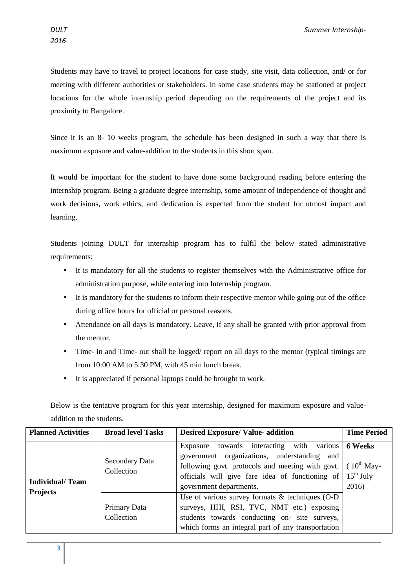Students may have to travel to project locations for case study, site visit, data collection, and/ or for meeting with different authorities or stakeholders. In some case students may be stationed at project locations for the whole internship period depending on the requirements of the project and its proximity to Bangalore.

Since it is an 8- 10 weeks program, the schedule has been designed in such a way that there is maximum exposure and value-addition to the students in this short span.

It would be important for the student to have done some background reading before entering the internship program. Being a graduate degree internship, some amount of independence of thought and work decisions, work ethics, and dedication is expected from the student for utmost impact and learning.

Students joining DULT for internship program has to fulfil the below stated administrative requirements:

- It is mandatory for all the students to register themselves with the Administrative office for administration purpose, while entering into Internship program.
- It is mandatory for the students to inform their respective mentor while going out of the office during office hours for official or personal reasons.
- Attendance on all days is mandatory. Leave, if any shall be granted with prior approval from the mentor.
- Time- in and Time- out shall be logged/ report on all days to the mentor (typical timings are from 10:00 AM to 5:30 PM, with 45 min lunch break.
- It is appreciated if personal laptops could be brought to work.

Below is the tentative program for this year internship, designed for maximum exposure and valueaddition to the students.

| <b>Planned Activities</b>                 | <b>Broad level Tasks</b>     | <b>Desired Exposure/ Value- addition</b>                                                                                                                                                                                                                    | <b>Time Period</b>      |
|-------------------------------------------|------------------------------|-------------------------------------------------------------------------------------------------------------------------------------------------------------------------------------------------------------------------------------------------------------|-------------------------|
| <b>Individual/Team</b><br><b>Projects</b> | Secondary Data<br>Collection | various  <br>Exposure towards interacting with<br>government organizations, understanding and<br>following govt. protocols and meeting with govt. $(10^{th}$ May-<br>officials will give fare idea of functioning of $15th$ July<br>government departments. | <b>6 Weeks</b><br>2016) |
|                                           | Primary Data<br>Collection   | Use of various survey formats & techniques (O-D<br>surveys, HHI, RSI, TVC, NMT etc.) exposing<br>students towards conducting on- site surveys,<br>which forms an integral part of any transportation                                                        |                         |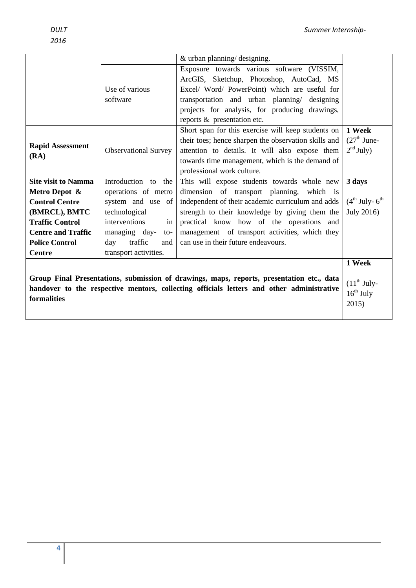|                                                                                                          |                                | & urban planning/ designing.                         |                  |
|----------------------------------------------------------------------------------------------------------|--------------------------------|------------------------------------------------------|------------------|
|                                                                                                          |                                | Exposure towards various software (VISSIM,           |                  |
|                                                                                                          |                                | ArcGIS, Sketchup, Photoshop, AutoCad, MS             |                  |
|                                                                                                          | Use of various                 | Excel/ Word/ PowerPoint) which are useful for        |                  |
|                                                                                                          | software                       | transportation and urban planning/ designing         |                  |
|                                                                                                          |                                | projects for analysis, for producing drawings,       |                  |
|                                                                                                          |                                | reports & presentation etc.                          |                  |
|                                                                                                          |                                | Short span for this exercise will keep students on   | 1 Week           |
|                                                                                                          |                                | their toes; hence sharpen the observation skills and | $(27th$ June-    |
| <b>Rapid Assessment</b><br>(RA)                                                                          | <b>Observational Survey</b>    | attention to details. It will also expose them       | $2nd$ July)      |
|                                                                                                          |                                | towards time management, which is the demand of      |                  |
|                                                                                                          |                                | professional work culture.                           |                  |
| <b>Site visit to Namma</b>                                                                               | Introduction to the            | This will expose students towards whole new          | 3 days           |
| Metro Depot &                                                                                            | operations of metro            | dimension of transport planning, which is            |                  |
| <b>Control Centre</b>                                                                                    | system and use of              | independent of their academic curriculum and adds    | $(4th July-6th)$ |
| (BMRCL), BMTC                                                                                            | technological                  | strength to their knowledge by giving them the       | July 2016)       |
| <b>Traffic Control</b>                                                                                   | interventions<br>in            | practical know how of the operations and             |                  |
| <b>Centre and Traffic</b>                                                                                | managing day-<br>$\mathsf{to}$ | management of transport activities, which they       |                  |
| <b>Police Control</b>                                                                                    | traffic<br>day<br>and          | can use in their future endeavours.                  |                  |
| <b>Centre</b>                                                                                            | transport activities.          |                                                      |                  |
|                                                                                                          |                                |                                                      | 1 Week           |
|                                                                                                          |                                |                                                      |                  |
| Group Final Presentations, submission of drawings, maps, reports, presentation etc., data                |                                |                                                      | $(11th$ July-    |
| handover to the respective mentors, collecting officials letters and other administrative<br>formalities |                                |                                                      | $16^{th}$ July   |
|                                                                                                          |                                |                                                      | 2015)            |
|                                                                                                          |                                |                                                      |                  |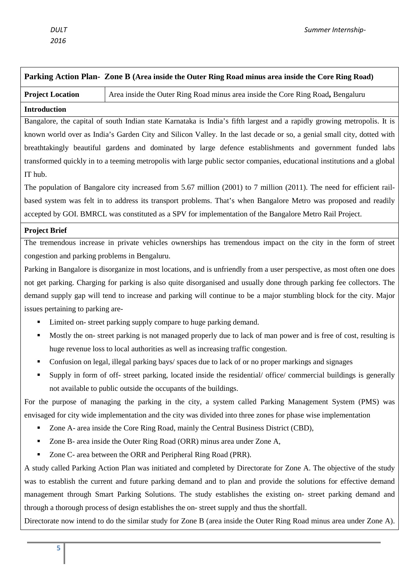| Parking Action Plan- Zone B (Area inside the Outer Ring Road minus area inside the Core Ring Road)                   |                                                                                                                          |  |
|----------------------------------------------------------------------------------------------------------------------|--------------------------------------------------------------------------------------------------------------------------|--|
| <b>Project Location</b>                                                                                              | Area inside the Outer Ring Road minus area inside the Core Ring Road, Bengaluru                                          |  |
| <b>Introduction</b>                                                                                                  |                                                                                                                          |  |
|                                                                                                                      | Bangalore, the capital of south Indian state Karnataka is India's fifth largest and a rapidly growing metropolis. It is  |  |
|                                                                                                                      | known world over as India's Garden City and Silicon Valley. In the last decade or so, a genial small city, dotted with   |  |
|                                                                                                                      | breathtakingly beautiful gardens and dominated by large defence establishments and government funded labs                |  |
|                                                                                                                      | transformed quickly in to a teeming metropolis with large public sector companies, educational institutions and a global |  |
| IT hub.                                                                                                              |                                                                                                                          |  |
|                                                                                                                      | The population of Bangalore city increased from 5.67 million (2001) to 7 million (2011). The need for efficient rail-    |  |
|                                                                                                                      | based system was felt in to address its transport problems. That's when Bangalore Metro was proposed and readily         |  |
|                                                                                                                      | accepted by GOI. BMRCL was constituted as a SPV for implementation of the Bangalore Metro Rail Project.                  |  |
| <b>Project Brief</b>                                                                                                 |                                                                                                                          |  |
|                                                                                                                      | The tremendous increase in private vehicles ownerships has tremendous impact on the city in the form of street           |  |
| congestion and parking problems in Bengaluru.                                                                        |                                                                                                                          |  |
|                                                                                                                      | Parking in Bangalore is disorganize in most locations, and is unfriendly from a user perspective, as most often one does |  |
|                                                                                                                      | not get parking. Charging for parking is also quite disorganised and usually done through parking fee collectors. The    |  |
|                                                                                                                      | demand supply gap will tend to increase and parking will continue to be a major stumbling block for the city. Major      |  |
| issues pertaining to parking are-                                                                                    |                                                                                                                          |  |
|                                                                                                                      | Limited on-street parking supply compare to huge parking demand.                                                         |  |
|                                                                                                                      | Mostly the on-street parking is not managed properly due to lack of man power and is free of cost, resulting is          |  |
|                                                                                                                      | huge revenue loss to local authorities as well as increasing traffic congestion.                                         |  |
|                                                                                                                      | Confusion on legal, illegal parking bays/ spaces due to lack of or no proper markings and signages                       |  |
| Supply in form of off- street parking, located inside the residential/ office/ commercial buildings is generally     |                                                                                                                          |  |
|                                                                                                                      | not available to public outside the occupants of the buildings.                                                          |  |
| For the purpose of managing the parking in the city, a system called Parking Management System (PMS) was             |                                                                                                                          |  |
| envisaged for city wide implementation and the city was divided into three zones for phase wise implementation       |                                                                                                                          |  |
|                                                                                                                      | Zone A- area inside the Core Ring Road, mainly the Central Business District (CBD),                                      |  |
| п                                                                                                                    | Zone B- area inside the Outer Ring Road (ORR) minus area under Zone A,                                                   |  |
|                                                                                                                      | Zone C- area between the ORR and Peripheral Ring Road (PRR).                                                             |  |
|                                                                                                                      | A study called Parking Action Plan was initiated and completed by Directorate for Zone A. The objective of the study     |  |
|                                                                                                                      | was to establish the current and future parking demand and to plan and provide the solutions for effective demand        |  |
|                                                                                                                      | management through Smart Parking Solutions. The study establishes the existing on- street parking demand and             |  |
| through a thorough process of design establishes the on-street supply and thus the shortfall.                        |                                                                                                                          |  |
| Directorate now intend to do the similar study for Zone B (area inside the Outer Ring Road minus area under Zone A). |                                                                                                                          |  |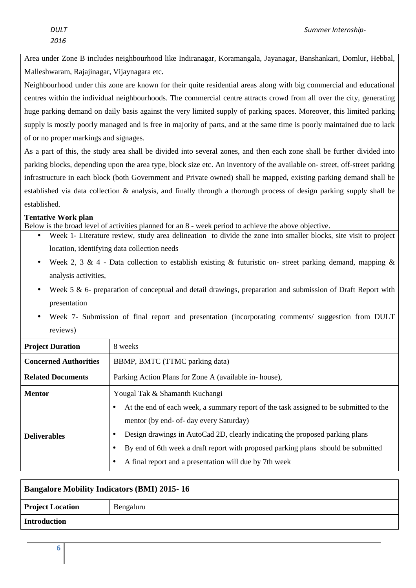Area under Zone B includes neighbourhood like Indiranagar, Koramangala, Jayanagar, Banshankari, Domlur, Hebbal, Malleshwaram, Rajajinagar, Vijaynagara etc.

Neighbourhood under this zone are known for their quite residential areas along with big commercial and educational centres within the individual neighbourhoods. The commercial centre attracts crowd from all over the city, generating huge parking demand on daily basis against the very limited supply of parking spaces. Moreover, this limited parking supply is mostly poorly managed and is free in majority of parts, and at the same time is poorly maintained due to lack of or no proper markings and signages.

As a part of this, the study area shall be divided into several zones, and then each zone shall be further divided into parking blocks, depending upon the area type, block size etc. An inventory of the available on- street, off-street parking infrastructure in each block (both Government and Private owned) shall be mapped, existing parking demand shall be established via data collection & analysis, and finally through a thorough process of design parking supply shall be established.

#### **Tentative Work plan**

Below is the broad level of activities planned for an 8 - week period to achieve the above objective.

- Week 1- Literature review, study area delineation to divide the zone into smaller blocks, site visit to project location, identifying data collection needs
- Week 2, 3 & 4 Data collection to establish existing & futuristic on- street parking demand, mapping & analysis activities,
- Week 5 & 6- preparation of conceptual and detail drawings, preparation and submission of Draft Report with presentation
- Week 7- Submission of final report and presentation (incorporating comments/ suggestion from DULT reviews)

| <b>Project Duration</b>      | 8 weeks                                                                                                                                                                                                                                                                                                                                                                                |  |
|------------------------------|----------------------------------------------------------------------------------------------------------------------------------------------------------------------------------------------------------------------------------------------------------------------------------------------------------------------------------------------------------------------------------------|--|
| <b>Concerned Authorities</b> | BBMP, BMTC (TTMC parking data)                                                                                                                                                                                                                                                                                                                                                         |  |
| <b>Related Documents</b>     | Parking Action Plans for Zone A (available in-house),                                                                                                                                                                                                                                                                                                                                  |  |
| <b>Mentor</b>                | Yougal Tak & Shamanth Kuchangi                                                                                                                                                                                                                                                                                                                                                         |  |
| <b>Deliverables</b>          | At the end of each week, a summary report of the task assigned to be submitted to the<br>$\bullet$<br>mentor (by end- of- day every Saturday)<br>Design drawings in AutoCad 2D, clearly indicating the proposed parking plans<br>٠<br>By end of 6th week a draft report with proposed parking plans should be submitted<br>٠<br>A final report and a presentation will due by 7th week |  |

| <b>Bangalore Mobility Indicators (BMI) 2015-16</b> |           |  |
|----------------------------------------------------|-----------|--|
| <b>Project Location</b>                            | Bengaluru |  |
| <b>Introduction</b>                                |           |  |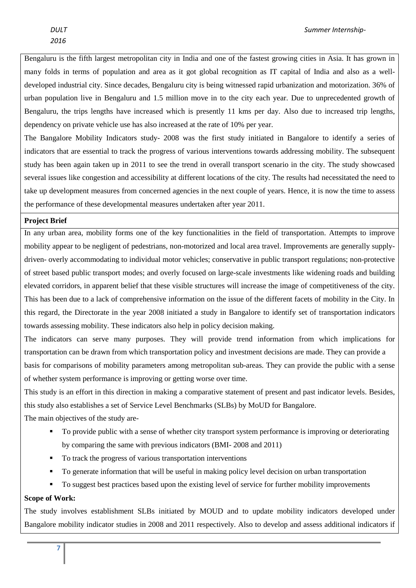Bengaluru is the fifth largest metropolitan city in India and one of the fastest growing cities in Asia. It has grown in many folds in terms of population and area as it got global recognition as IT capital of India and also as a welldeveloped industrial city. Since decades, Bengaluru city is being witnessed rapid urbanization and motorization. 36% of urban population live in Bengaluru and 1.5 million move in to the city each year. Due to unprecedented growth of Bengaluru, the trips lengths have increased which is presently 11 kms per day. Also due to increased trip lengths, dependency on private vehicle use has also increased at the rate of 10% per year.

The Bangalore Mobility Indicators study- 2008 was the first study initiated in Bangalore to identify a series of indicators that are essential to track the progress of various interventions towards addressing mobility. The subsequent study has been again taken up in 2011 to see the trend in overall transport scenario in the city. The study showcased several issues like congestion and accessibility at different locations of the city. The results had necessitated the need to take up development measures from concerned agencies in the next couple of years. Hence, it is now the time to assess the performance of these developmental measures undertaken after year 2011.

#### **Project Brief**

In any urban area, mobility forms one of the key functionalities in the field of transportation. Attempts to improve mobility appear to be negligent of pedestrians, non-motorized and local area travel. Improvements are generally supplydriven- overly accommodating to individual motor vehicles; conservative in public transport regulations; non-protective of street based public transport modes; and overly focused on large-scale investments like widening roads and building elevated corridors, in apparent belief that these visible structures will increase the image of competitiveness of the city. This has been due to a lack of comprehensive information on the issue of the different facets of mobility in the City. In this regard, the Directorate in the year 2008 initiated a study in Bangalore to identify set of transportation indicators towards assessing mobility. These indicators also help in policy decision making.

The indicators can serve many purposes. They will provide trend information from which implications for transportation can be drawn from which transportation policy and investment decisions are made. They can provide a basis for comparisons of mobility parameters among metropolitan sub-areas. They can provide the public with a sense of whether system performance is improving or getting worse over time.

This study is an effort in this direction in making a comparative statement of present and past indicator levels. Besides, this study also establishes a set of Service Level Benchmarks (SLBs) by MoUD for Bangalore.

The main objectives of the study are-

- To provide public with a sense of whether city transport system performance is improving or deteriorating by comparing the same with previous indicators (BMI- 2008 and 2011)
- To track the progress of various transportation interventions
- To generate information that will be useful in making policy level decision on urban transportation
- To suggest best practices based upon the existing level of service for further mobility improvements

#### **Scope of Work:**

The study involves establishment SLBs initiated by MOUD and to update mobility indicators developed under Bangalore mobility indicator studies in 2008 and 2011 respectively. Also to develop and assess additional indicators if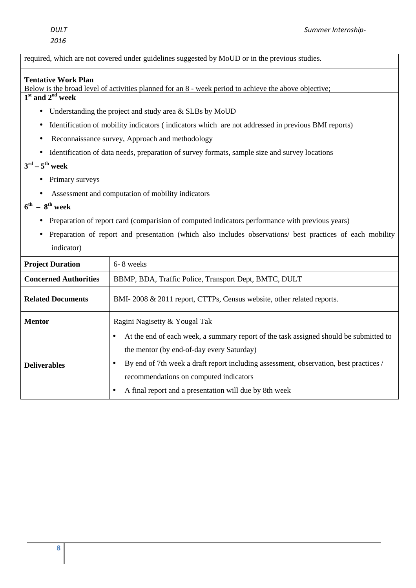required, which are not covered under guidelines suggested by MoUD or in the previous studies.

#### **Tentative Work Plan**

Below is the broad level of activities planned for an 8 - week period to achieve the above objective;

**1 st and 2nd week** 

- Understanding the project and study area & SLBs by MoUD
- Identification of mobility indicators (indicators which are not addressed in previous BMI reports)
- Reconnaissance survey, Approach and methodology
- Identification of data needs, preparation of survey formats, sample size and survey locations

## $3^{\text{rd}} - 5^{\text{th}}$  week

- Primary surveys
- Assessment and computation of mobility indicators

#### $6^{th}$  –  $8^{th}$  week

- Preparation of report card (comparision of computed indicators performance with previous years)
- Preparation of report and presentation (which also includes observations/ best practices of each mobility indicator)

| <b>Project Duration</b>      | 6-8 weeks                                                                                                                                                                                                                                                                                                                                    |  |
|------------------------------|----------------------------------------------------------------------------------------------------------------------------------------------------------------------------------------------------------------------------------------------------------------------------------------------------------------------------------------------|--|
| <b>Concerned Authorities</b> | BBMP, BDA, Traffic Police, Transport Dept, BMTC, DULT                                                                                                                                                                                                                                                                                        |  |
| <b>Related Documents</b>     | BMI-2008 & 2011 report, CTTPs, Census website, other related reports.                                                                                                                                                                                                                                                                        |  |
| <b>Mentor</b>                | Ragini Nagisetty & Yougal Tak                                                                                                                                                                                                                                                                                                                |  |
| <b>Deliverables</b>          | At the end of each week, a summary report of the task assigned should be submitted to<br>$\bullet$<br>the mentor (by end-of-day every Saturday)<br>By end of 7th week a draft report including assessment, observation, best practices /<br>recommendations on computed indicators<br>A final report and a presentation will due by 8th week |  |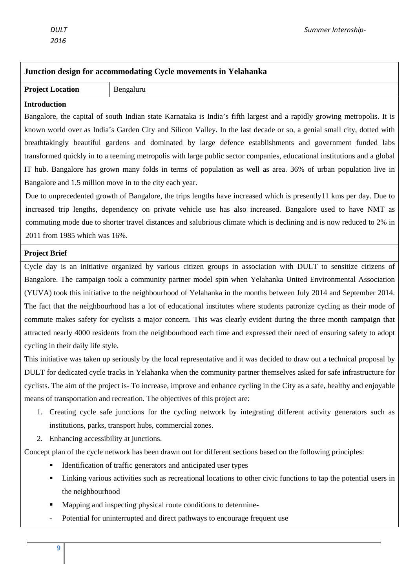| Junction design for accommodating Cycle movements in Yelahanka                                                            |                                                                                                                           |  |
|---------------------------------------------------------------------------------------------------------------------------|---------------------------------------------------------------------------------------------------------------------------|--|
| <b>Project Location</b>                                                                                                   | Bengaluru                                                                                                                 |  |
| <b>Introduction</b>                                                                                                       |                                                                                                                           |  |
|                                                                                                                           | Bangalore, the capital of south Indian state Karnataka is India's fifth largest and a rapidly growing metropolis. It is   |  |
|                                                                                                                           | known world over as India's Garden City and Silicon Valley. In the last decade or so, a genial small city, dotted with    |  |
|                                                                                                                           | breathtakingly beautiful gardens and dominated by large defence establishments and government funded labs                 |  |
|                                                                                                                           | transformed quickly in to a teeming metropolis with large public sector companies, educational institutions and a global  |  |
|                                                                                                                           | IT hub. Bangalore has grown many folds in terms of population as well as area. 36% of urban population live in            |  |
|                                                                                                                           | Bangalore and 1.5 million move in to the city each year.                                                                  |  |
|                                                                                                                           | Due to unprecedented growth of Bangalore, the trips lengths have increased which is presently11 kms per day. Due to       |  |
|                                                                                                                           | increased trip lengths, dependency on private vehicle use has also increased. Bangalore used to have NMT as               |  |
|                                                                                                                           | commuting mode due to shorter travel distances and salubrious climate which is declining and is now reduced to 2% in      |  |
| 2011 from 1985 which was 16%.                                                                                             |                                                                                                                           |  |
| <b>Project Brief</b>                                                                                                      |                                                                                                                           |  |
|                                                                                                                           | Cycle day is an initiative organized by various citizen groups in association with DULT to sensitize citizens of          |  |
|                                                                                                                           | Bangalore. The campaign took a community partner model spin when Yelahanka United Environmental Association               |  |
|                                                                                                                           | (YUVA) took this initiative to the neighbourhood of Yelahanka in the months between July 2014 and September 2014.         |  |
|                                                                                                                           | The fact that the neighbourhood has a lot of educational institutes where students patronize cycling as their mode of     |  |
| commute makes safety for cyclists a major concern. This was clearly evident during the three month campaign that          |                                                                                                                           |  |
|                                                                                                                           | attracted nearly 4000 residents from the neighbourhood each time and expressed their need of ensuring safety to adopt     |  |
| cycling in their daily life style.                                                                                        |                                                                                                                           |  |
|                                                                                                                           | This initiative was taken up seriously by the local representative and it was decided to draw out a technical proposal by |  |
|                                                                                                                           | DULT for dedicated cycle tracks in Yelahanka when the community partner themselves asked for safe infrastructure for      |  |
| cyclists. The aim of the project is-To increase, improve and enhance cycling in the City as a safe, healthy and enjoyable |                                                                                                                           |  |
| means of transportation and recreation. The objectives of this project are:                                               |                                                                                                                           |  |
| Creating cycle safe junctions for the cycling network by integrating different activity generators such as<br>1.          |                                                                                                                           |  |
| institutions, parks, transport hubs, commercial zones.                                                                    |                                                                                                                           |  |
| Enhancing accessibility at junctions.<br>2.                                                                               |                                                                                                                           |  |
|                                                                                                                           | Concept plan of the cycle network has been drawn out for different sections based on the following principles:            |  |
|                                                                                                                           | Identification of traffic generators and anticipated user types                                                           |  |
|                                                                                                                           | Linking various activities such as recreational locations to other civic functions to tap the potential users in          |  |
| the neighbourhood                                                                                                         |                                                                                                                           |  |
| Mapping and inspecting physical route conditions to determine-                                                            |                                                                                                                           |  |
|                                                                                                                           | Potential for uninterrupted and direct pathways to encourage frequent use                                                 |  |
|                                                                                                                           |                                                                                                                           |  |
| 9                                                                                                                         |                                                                                                                           |  |
|                                                                                                                           |                                                                                                                           |  |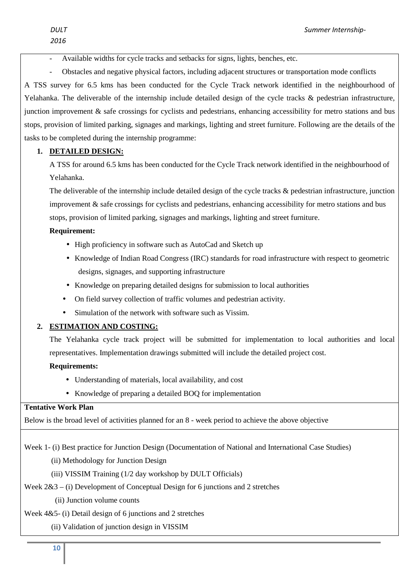Available widths for cycle tracks and setbacks for signs, lights, benches, etc.

- Obstacles and negative physical factors, including adjacent structures or transportation mode conflicts A TSS survey for 6.5 kms has been conducted for the Cycle Track network identified in the neighbourhood of Yelahanka. The deliverable of the internship include detailed design of the cycle tracks & pedestrian infrastructure, junction improvement & safe crossings for cyclists and pedestrians, enhancing accessibility for metro stations and bus stops, provision of limited parking, signages and markings, lighting and street furniture. Following are the details of the tasks to be completed during the internship programme:

### **1. DETAILED DESIGN:**

A TSS for around 6.5 kms has been conducted for the Cycle Track network identified in the neighbourhood of Yelahanka.

The deliverable of the internship include detailed design of the cycle tracks & pedestrian infrastructure, junction improvement & safe crossings for cyclists and pedestrians, enhancing accessibility for metro stations and bus stops, provision of limited parking, signages and markings, lighting and street furniture.

#### **Requirement:**

- High proficiency in software such as AutoCad and Sketch up
- Knowledge of Indian Road Congress (IRC) standards for road infrastructure with respect to geometric designs, signages, and supporting infrastructure
- Knowledge on preparing detailed designs for submission to local authorities
- On field survey collection of traffic volumes and pedestrian activity.
- Simulation of the network with software such as Vissim.

## **2. ESTIMATION AND COSTING:**

The Yelahanka cycle track project will be submitted for implementation to local authorities and local representatives. Implementation drawings submitted will include the detailed project cost.

#### **Requirements:**

- Understanding of materials, local availability, and cost
- Knowledge of preparing a detailed BOQ for implementation

#### **Tentative Work Plan**

Below is the broad level of activities planned for an 8 - week period to achieve the above objective

Week 1- (i) Best practice for Junction Design (Documentation of National and International Case Studies)

- (ii) Methodology for Junction Design
- (iii) VISSIM Training (1/2 day workshop by DULT Officials)
- Week  $2&3$  (i) Development of Conceptual Design for 6 junctions and 2 stretches
	- (ii) Junction volume counts

## Week 4&5- (i) Detail design of 6 junctions and 2 stretches

(ii) Validation of junction design in VISSIM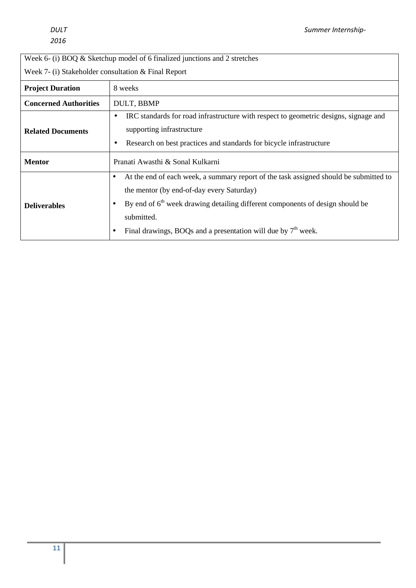## Week 6- (i) BOQ & Sketchup model of 6 finalized junctions and 2 stretches

Week 7- (i) Stakeholder consultation & Final Report

| <b>Project Duration</b>      | 8 weeks                                                                                                                                                                                                                                                                                                                       |  |
|------------------------------|-------------------------------------------------------------------------------------------------------------------------------------------------------------------------------------------------------------------------------------------------------------------------------------------------------------------------------|--|
| <b>Concerned Authorities</b> | DULT, BBMP                                                                                                                                                                                                                                                                                                                    |  |
| <b>Related Documents</b>     | IRC standards for road infrastructure with respect to geometric designs, signage and<br>$\bullet$<br>supporting infrastructure<br>Research on best practices and standards for bicycle infrastructure                                                                                                                         |  |
| <b>Mentor</b>                | Pranati Awasthi & Sonal Kulkarni                                                                                                                                                                                                                                                                                              |  |
| <b>Deliverables</b>          | At the end of each week, a summary report of the task assigned should be submitted to<br>$\bullet$<br>the mentor (by end-of-day every Saturday)<br>By end of 6 <sup>th</sup> week drawing detailing different components of design should be<br>submitted.<br>Final drawings, BOQs and a presentation will due by $7th$ week. |  |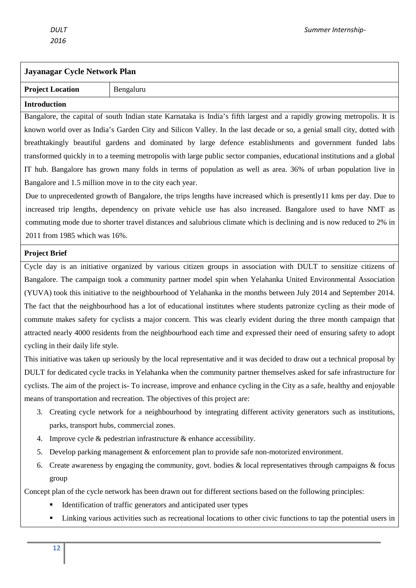## **Jayanagar Cycle Network Plan**

**Project Location** Bengaluru

#### **Introduction**

Bangalore, the capital of south Indian state Karnataka is India's fifth largest and a rapidly growing metropolis. It is known world over as India's Garden City and Silicon Valley. In the last decade or so, a genial small city, dotted with breathtakingly beautiful gardens and dominated by large defence establishments and government funded labs transformed quickly in to a teeming metropolis with large public sector companies, educational institutions and a global IT hub. Bangalore has grown many folds in terms of population as well as area. 36% of urban population live in Bangalore and 1.5 million move in to the city each year.

Due to unprecedented growth of Bangalore, the trips lengths have increased which is presently11 kms per day. Due to increased trip lengths, dependency on private vehicle use has also increased. Bangalore used to have NMT as commuting mode due to shorter travel distances and salubrious climate which is declining and is now reduced to 2% in 2011 from 1985 which was 16%.

#### **Project Brief**

Cycle day is an initiative organized by various citizen groups in association with DULT to sensitize citizens of Bangalore. The campaign took a community partner model spin when Yelahanka United Environmental Association (YUVA) took this initiative to the neighbourhood of Yelahanka in the months between July 2014 and September 2014. The fact that the neighbourhood has a lot of educational institutes where students patronize cycling as their mode of commute makes safety for cyclists a major concern. This was clearly evident during the three month campaign that attracted nearly 4000 residents from the neighbourhood each time and expressed their need of ensuring safety to adopt cycling in their daily life style.

This initiative was taken up seriously by the local representative and it was decided to draw out a technical proposal by DULT for dedicated cycle tracks in Yelahanka when the community partner themselves asked for safe infrastructure for cyclists. The aim of the project is- To increase, improve and enhance cycling in the City as a safe, healthy and enjoyable means of transportation and recreation. The objectives of this project are:

- 3. Creating cycle network for a neighbourhood by integrating different activity generators such as institutions, parks, transport hubs, commercial zones.
- 4. Improve cycle & pedestrian infrastructure & enhance accessibility.
- 5. Develop parking management & enforcement plan to provide safe non-motorized environment.
- 6. Create awareness by engaging the community, govt. bodies & local representatives through campaigns & focus group

Concept plan of the cycle network has been drawn out for different sections based on the following principles:

- Identification of traffic generators and anticipated user types
- Linking various activities such as recreational locations to other civic functions to tap the potential users in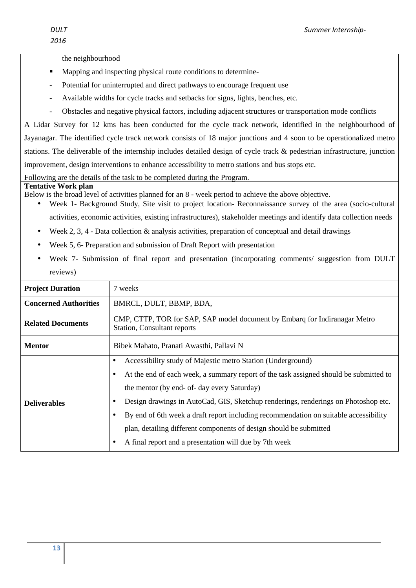the neighbourhood

- Mapping and inspecting physical route conditions to determine-
- Potential for uninterrupted and direct pathways to encourage frequent use
- Available widths for cycle tracks and setbacks for signs, lights, benches, etc.
- Obstacles and negative physical factors, including adjacent structures or transportation mode conflicts

A Lidar Survey for 12 kms has been conducted for the cycle track network, identified in the neighbourhood of Jayanagar. The identified cycle track network consists of 18 major junctions and 4 soon to be operationalized metro stations. The deliverable of the internship includes detailed design of cycle track & pedestrian infrastructure, junction improvement, design interventions to enhance accessibility to metro stations and bus stops etc.

Following are the details of the task to be completed during the Program.

#### **Tentative Work plan**

Below is the broad level of activities planned for an 8 - week period to achieve the above objective.

- Week 1- Background Study, Site visit to project location- Reconnaissance survey of the area (socio-cultural activities, economic activities, existing infrastructures), stakeholder meetings and identify data collection needs
- Week 2, 3, 4 Data collection  $\&$  analysis activities, preparation of conceptual and detail drawings
- Week 5, 6- Preparation and submission of Draft Report with presentation
- Week 7- Submission of final report and presentation (incorporating comments/ suggestion from DULT reviews)

| <b>Project Duration</b>      | 7 weeks                                                                                                   |  |
|------------------------------|-----------------------------------------------------------------------------------------------------------|--|
| <b>Concerned Authorities</b> | BMRCL, DULT, BBMP, BDA,                                                                                   |  |
| <b>Related Documents</b>     | CMP, CTTP, TOR for SAP, SAP model document by Embarg for Indiranagar Metro<br>Station, Consultant reports |  |
| <b>Mentor</b>                | Bibek Mahato, Pranati Awasthi, Pallavi N                                                                  |  |
| <b>Deliverables</b>          | Accessibility study of Majestic metro Station (Underground)<br>$\bullet$                                  |  |
|                              | At the end of each week, a summary report of the task assigned should be submitted to                     |  |
|                              | the mentor (by end- of- day every Saturday)                                                               |  |
|                              | Design drawings in AutoCad, GIS, Sketchup renderings, renderings on Photoshop etc.                        |  |
|                              | By end of 6th week a draft report including recommendation on suitable accessibility                      |  |
|                              | plan, detailing different components of design should be submitted                                        |  |
|                              | A final report and a presentation will due by 7th week                                                    |  |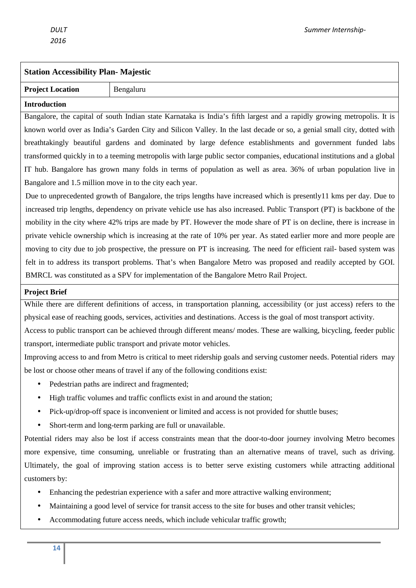# **Station Accessibility Plan- Majestic**

## **Project Location** Bengaluru

**Introduction** 

Bangalore, the capital of south Indian state Karnataka is India's fifth largest and a rapidly growing metropolis. It is known world over as India's Garden City and Silicon Valley. In the last decade or so, a genial small city, dotted with breathtakingly beautiful gardens and dominated by large defence establishments and government funded labs transformed quickly in to a teeming metropolis with large public sector companies, educational institutions and a global IT hub. Bangalore has grown many folds in terms of population as well as area. 36% of urban population live in Bangalore and 1.5 million move in to the city each year.

Due to unprecedented growth of Bangalore, the trips lengths have increased which is presently11 kms per day. Due to increased trip lengths, dependency on private vehicle use has also increased. Public Transport (PT) is backbone of the mobility in the city where 42% trips are made by PT. However the mode share of PT is on decline, there is increase in private vehicle ownership which is increasing at the rate of 10% per year. As stated earlier more and more people are moving to city due to job prospective, the pressure on PT is increasing. The need for efficient rail- based system was felt in to address its transport problems. That's when Bangalore Metro was proposed and readily accepted by GOI. BMRCL was constituted as a SPV for implementation of the Bangalore Metro Rail Project.

#### **Project Brief**

While there are different definitions of access, in transportation planning, accessibility (or just access) refers to the physical ease of reaching goods, services, activities and destinations. Access is the goal of most transport activity.

Access to public transport can be achieved through different means/ modes. These are walking, bicycling, feeder public transport, intermediate public transport and private motor vehicles.

Improving access to and from Metro is critical to meet ridership goals and serving customer needs. Potential riders may be lost or choose other means of travel if any of the following conditions exist:

- Pedestrian paths are indirect and fragmented:
- High traffic volumes and traffic conflicts exist in and around the station;
- Pick-up/drop-off space is inconvenient or limited and access is not provided for shuttle buses;
- Short-term and long-term parking are full or unavailable.

Potential riders may also be lost if access constraints mean that the door-to-door journey involving Metro becomes more expensive, time consuming, unreliable or frustrating than an alternative means of travel, such as driving. Ultimately, the goal of improving station access is to better serve existing customers while attracting additional customers by:

- Enhancing the pedestrian experience with a safer and more attractive walking environment;
- Maintaining a good level of service for transit access to the site for buses and other transit vehicles;
- Accommodating future access needs, which include vehicular traffic growth;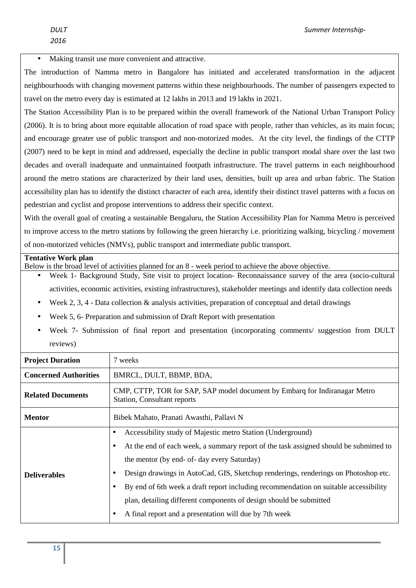Making transit use more convenient and attractive.

The introduction of Namma metro in Bangalore has initiated and accelerated transformation in the adjacent neighbourhoods with changing movement patterns within these neighbourhoods. The number of passengers expected to travel on the metro every day is estimated at 12 lakhs in 2013 and 19 lakhs in 2021.

The Station Accessibility Plan is to be prepared within the overall framework of the National Urban Transport Policy (2006). It is to bring about more equitable allocation of road space with people, rather than vehicles, as its main focus; and encourage greater use of public transport and non-motorized modes. At the city level, the findings of the CTTP (2007) need to be kept in mind and addressed, especially the decline in public transport modal share over the last two decades and overall inadequate and unmaintained footpath infrastructure. The travel patterns in each neighbourhood around the metro stations are characterized by their land uses, densities, built up area and urban fabric. The Station accessibility plan has to identify the distinct character of each area, identify their distinct travel patterns with a focus on pedestrian and cyclist and propose interventions to address their specific context.

With the overall goal of creating a sustainable Bengaluru, the Station Accessibility Plan for Namma Metro is perceived to improve access to the metro stations by following the green hierarchy i.e. prioritizing walking, bicycling / movement of non-motorized vehicles (NMVs), public transport and intermediate public transport.

#### **Tentative Work plan**

Below is the broad level of activities planned for an 8 - week period to achieve the above objective.

- Week 1- Background Study, Site visit to project location- Reconnaissance survey of the area (socio-cultural activities, economic activities, existing infrastructures), stakeholder meetings and identify data collection needs
- Week 2, 3, 4 Data collection  $\&$  analysis activities, preparation of conceptual and detail drawings
- Week 5, 6- Preparation and submission of Draft Report with presentation
- Week 7- Submission of final report and presentation (incorporating comments/ suggestion from DULT reviews)

| <b>Project Duration</b>      | 7 weeks                                                                                                   |  |
|------------------------------|-----------------------------------------------------------------------------------------------------------|--|
| <b>Concerned Authorities</b> | BMRCL, DULT, BBMP, BDA,                                                                                   |  |
| <b>Related Documents</b>     | CMP, CTTP, TOR for SAP, SAP model document by Embarg for Indiranagar Metro<br>Station, Consultant reports |  |
| <b>Mentor</b>                | Bibek Mahato, Pranati Awasthi, Pallavi N                                                                  |  |
| <b>Deliverables</b>          | Accessibility study of Majestic metro Station (Underground)<br>$\bullet$                                  |  |
|                              | At the end of each week, a summary report of the task assigned should be submitted to<br>٠                |  |
|                              | the mentor (by end- of- day every Saturday)                                                               |  |
|                              | Design drawings in AutoCad, GIS, Sketchup renderings, renderings on Photoshop etc.<br>٠                   |  |
|                              | By end of 6th week a draft report including recommendation on suitable accessibility<br>٠                 |  |
|                              | plan, detailing different components of design should be submitted                                        |  |
|                              | A final report and a presentation will due by 7th week<br>$\bullet$                                       |  |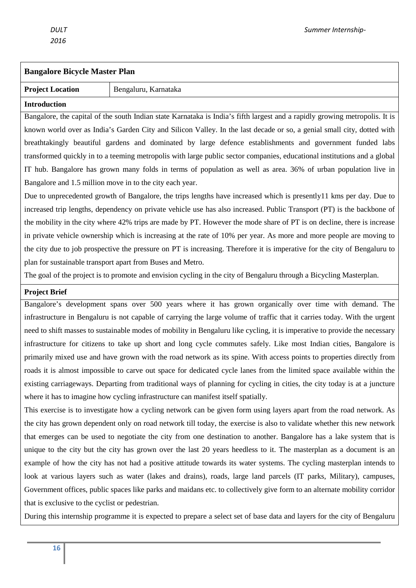#### **Bangalore Bicycle Master Plan**

#### **Project Location Bengaluru, Karnataka**

#### **Introduction**

Bangalore, the capital of the south Indian state Karnataka is India's fifth largest and a rapidly growing metropolis. It is known world over as India's Garden City and Silicon Valley. In the last decade or so, a genial small city, dotted with breathtakingly beautiful gardens and dominated by large defence establishments and government funded labs transformed quickly in to a teeming metropolis with large public sector companies, educational institutions and a global IT hub. Bangalore has grown many folds in terms of population as well as area. 36% of urban population live in Bangalore and 1.5 million move in to the city each year.

Due to unprecedented growth of Bangalore, the trips lengths have increased which is presently11 kms per day. Due to increased trip lengths, dependency on private vehicle use has also increased. Public Transport (PT) is the backbone of the mobility in the city where 42% trips are made by PT. However the mode share of PT is on decline, there is increase in private vehicle ownership which is increasing at the rate of 10% per year. As more and more people are moving to the city due to job prospective the pressure on PT is increasing. Therefore it is imperative for the city of Bengaluru to plan for sustainable transport apart from Buses and Metro.

The goal of the project is to promote and envision cycling in the city of Bengaluru through a Bicycling Masterplan.

#### **Project Brief**

Bangalore's development spans over 500 years where it has grown organically over time with demand. The infrastructure in Bengaluru is not capable of carrying the large volume of traffic that it carries today. With the urgent need to shift masses to sustainable modes of mobility in Bengaluru like cycling, it is imperative to provide the necessary infrastructure for citizens to take up short and long cycle commutes safely. Like most Indian cities, Bangalore is primarily mixed use and have grown with the road network as its spine. With access points to properties directly from roads it is almost impossible to carve out space for dedicated cycle lanes from the limited space available within the existing carriageways. Departing from traditional ways of planning for cycling in cities, the city today is at a juncture where it has to imagine how cycling infrastructure can manifest itself spatially.

This exercise is to investigate how a cycling network can be given form using layers apart from the road network. As the city has grown dependent only on road network till today, the exercise is also to validate whether this new network that emerges can be used to negotiate the city from one destination to another. Bangalore has a lake system that is unique to the city but the city has grown over the last 20 years heedless to it. The masterplan as a document is an example of how the city has not had a positive attitude towards its water systems. The cycling masterplan intends to look at various layers such as water (lakes and drains), roads, large land parcels (IT parks, Military), campuses, Government offices, public spaces like parks and maidans etc. to collectively give form to an alternate mobility corridor that is exclusive to the cyclist or pedestrian.

During this internship programme it is expected to prepare a select set of base data and layers for the city of Bengaluru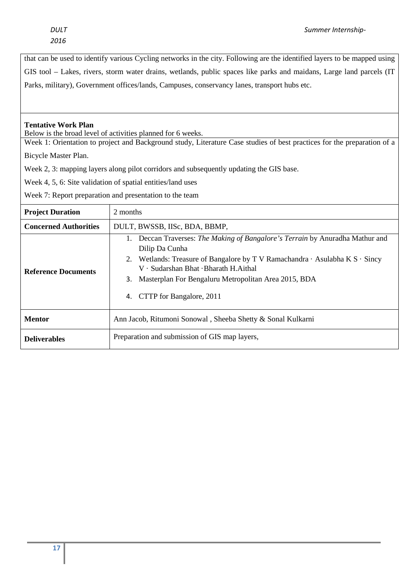that can be used to identify various Cycling networks in the city. Following are the identified layers to be mapped using GIS tool – Lakes, rivers, storm water drains, wetlands, public spaces like parks and maidans, Large land parcels (IT Parks, military), Government offices/lands, Campuses, conservancy lanes, transport hubs etc.

#### **Tentative Work Plan**

Below is the broad level of activities planned for 6 weeks.

Week 1: Orientation to project and Background study, Literature Case studies of best practices for the preparation of a

Bicycle Master Plan.

Week 2, 3: mapping layers along pilot corridors and subsequently updating the GIS base.

Week 4, 5, 6: Site validation of spatial entities/land uses

Week 7: Report preparation and presentation to the team

| <b>Project Duration</b>      | 2 months                                                                                                                                                                                                                                                                                                                        |  |
|------------------------------|---------------------------------------------------------------------------------------------------------------------------------------------------------------------------------------------------------------------------------------------------------------------------------------------------------------------------------|--|
| <b>Concerned Authorities</b> | DULT, BWSSB, IISc, BDA, BBMP,                                                                                                                                                                                                                                                                                                   |  |
| <b>Reference Documents</b>   | 1. Deccan Traverses: The Making of Bangalore's Terrain by Anuradha Mathur and<br>Dilip Da Cunha<br>2. Wetlands: Treasure of Bangalore by T V Ramachandra $\cdot$ Asulabha K S $\cdot$ Sincy<br>V · Sudarshan Bhat · Bharath H. Aithal<br>3. Masterplan For Bengaluru Metropolitan Area 2015, BDA<br>4. CTTP for Bangalore, 2011 |  |
| <b>Mentor</b>                | Ann Jacob, Ritumoni Sonowal, Sheeba Shetty & Sonal Kulkarni                                                                                                                                                                                                                                                                     |  |
| <b>Deliverables</b>          | Preparation and submission of GIS map layers,                                                                                                                                                                                                                                                                                   |  |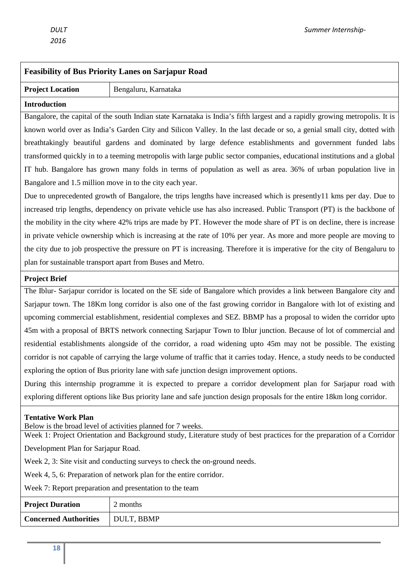| <b>Feasibility of Bus Priority Lanes on Sarjapur Road</b>                                                                   |                      |  |
|-----------------------------------------------------------------------------------------------------------------------------|----------------------|--|
| <b>Project Location</b>                                                                                                     | Bengaluru, Karnataka |  |
| <b>Introduction</b>                                                                                                         |                      |  |
| Bangalore, the capital of the south Indian state Karnataka is India's fifth largest and a rapidly growing metropolis. It is |                      |  |

known world over as India's Garden City and Silicon Valley. In the last decade or so, a genial small city, dotted with breathtakingly beautiful gardens and dominated by large defence establishments and government funded labs transformed quickly in to a teeming metropolis with large public sector companies, educational institutions and a global IT hub. Bangalore has grown many folds in terms of population as well as area. 36% of urban population live in Bangalore and 1.5 million move in to the city each year.

Due to unprecedented growth of Bangalore, the trips lengths have increased which is presently11 kms per day. Due to increased trip lengths, dependency on private vehicle use has also increased. Public Transport (PT) is the backbone of the mobility in the city where 42% trips are made by PT. However the mode share of PT is on decline, there is increase in private vehicle ownership which is increasing at the rate of 10% per year. As more and more people are moving to the city due to job prospective the pressure on PT is increasing. Therefore it is imperative for the city of Bengaluru to plan for sustainable transport apart from Buses and Metro.

#### **Project Brief**

The Iblur- Sarjapur corridor is located on the SE side of Bangalore which provides a link between Bangalore city and Sarjapur town. The 18Km long corridor is also one of the fast growing corridor in Bangalore with lot of existing and upcoming commercial establishment, residential complexes and SEZ. BBMP has a proposal to widen the corridor upto 45m with a proposal of BRTS network connecting Sarjapur Town to Iblur junction. Because of lot of commercial and residential establishments alongside of the corridor, a road widening upto 45m may not be possible. The existing corridor is not capable of carrying the large volume of traffic that it carries today. Hence, a study needs to be conducted exploring the option of Bus priority lane with safe junction design improvement options.

During this internship programme it is expected to prepare a corridor development plan for Sarjapur road with exploring different options like Bus priority lane and safe junction design proposals for the entire 18km long corridor.

#### **Tentative Work Plan**

Below is the broad level of activities planned for 7 weeks.

Week 1: Project Orientation and Background study, Literature study of best practices for the preparation of a Corridor Development Plan for Sarjapur Road.

Week 2, 3: Site visit and conducting surveys to check the on-ground needs.

Week 4, 5, 6: Preparation of network plan for the entire corridor.

Week 7: Report preparation and presentation to the team

| <b>Project Duration</b>      | 2 months   |
|------------------------------|------------|
| <b>Concerned Authorities</b> | DULT, BBMP |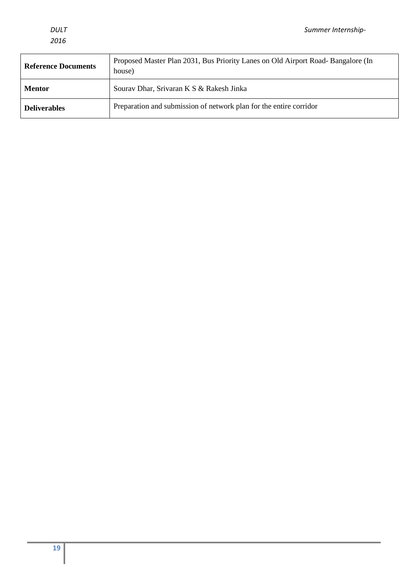| <b>Reference Documents</b> | Proposed Master Plan 2031, Bus Priority Lanes on Old Airport Road-Bangalore (In<br>house) |
|----------------------------|-------------------------------------------------------------------------------------------|
| <b>Mentor</b>              | Sourav Dhar, Srivaran K S & Rakesh Jinka                                                  |
| <b>Deliverables</b>        | Preparation and submission of network plan for the entire corridor                        |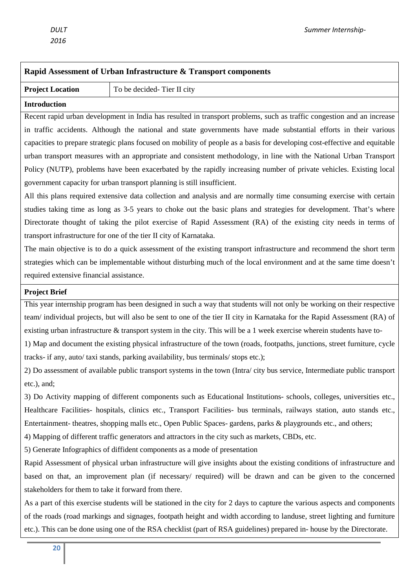# **Rapid Assessment of Urban Infrastructure & Transport components Project Location** To be decided- Tier II city **Introduction**  Recent rapid urban development in India has resulted in transport problems, such as traffic congestion and an increase in traffic accidents. Although the national and state governments have made substantial efforts in their various capacities to prepare strategic plans focused on mobility of people as a basis for developing cost-effective and equitable urban transport measures with an appropriate and consistent methodology, in line with the National Urban Transport Policy (NUTP), problems have been exacerbated by the rapidly increasing number of private vehicles. Existing local government capacity for urban transport planning is still insufficient. All this plans required extensive data collection and analysis and are normally time consuming exercise with certain studies taking time as long as 3-5 years to choke out the basic plans and strategies for development. That's where Directorate thought of taking the pilot exercise of Rapid Assessment (RA) of the existing city needs in terms of transport infrastructure for one of the tier II city of Karnataka. The main objective is to do a quick assessment of the existing transport infrastructure and recommend the short term strategies which can be implementable without disturbing much of the local environment and at the same time doesn't required extensive financial assistance. **Project Brief**  This year internship program has been designed in such a way that students will not only be working on their respective team/ individual projects, but will also be sent to one of the tier II city in Karnataka for the Rapid Assessment (RA) of existing urban infrastructure & transport system in the city. This will be a 1 week exercise wherein students have to-1) Map and document the existing physical infrastructure of the town (roads, footpaths, junctions, street furniture, cycle tracks- if any, auto/ taxi stands, parking availability, bus terminals/ stops etc.); 2) Do assessment of available public transport systems in the town (Intra/ city bus service, Intermediate public transport etc.), and; 3) Do Activity mapping of different components such as Educational Institutions- schools, colleges, universities etc., Healthcare Facilities- hospitals, clinics etc., Transport Facilities- bus terminals, railways station, auto stands etc., Entertainment- theatres, shopping malls etc., Open Public Spaces- gardens, parks & playgrounds etc., and others; 4) Mapping of different traffic generators and attractors in the city such as markets, CBDs, etc. 5) Generate Infographics of diffident components as a mode of presentation Rapid Assessment of physical urban infrastructure will give insights about the existing conditions of infrastructure and based on that, an improvement plan (if necessary/ required) will be drawn and can be given to the concerned stakeholders for them to take it forward from there. As a part of this exercise students will be stationed in the city for 2 days to capture the various aspects and components of the roads (road markings and signages, footpath height and width according to landuse, street lighting and furniture etc.). This can be done using one of the RSA checklist (part of RSA guidelines) prepared in- house by the Directorate.